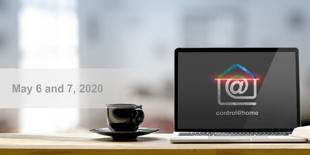## **May 6 and 7, 2020**



control@home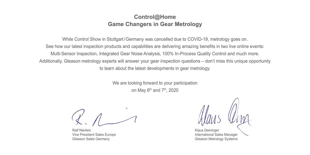### **Control@Home Game Changers in Gear Metrology**

While Control Show in Stuttgart/Germany was cancelled due to COVID-19, metrology goes on. See how our latest inspection products and capabilities are delivering amazing benefits in two live online events: Multi-Sensor Inspection, Integrated Gear Noise Analysis, 100% In-Process Quality Control and much more. Additionally, Gleason metrology experts will answer your gear inspection questions – don't miss this unique opportunity to learn about the latest developments in gear metrology.

> We are looking forward to your participation on May  $6<sup>th</sup>$  and  $7<sup>th</sup>$ , 2020

Ralf Nierlein Vice President Sales Europe Gleason Sales Germany

Klaus Deininger International Sales Manager Gleason Metrology Systems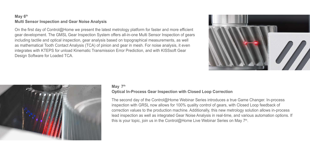#### **May 6th Multi Sensor Inspection and Gear Noise Analysis**

On the first day of Control@Home we present the latest metrology platform for faster and more efficient gear development. The GMSL Gear Inspection System offers all-in-one Multi Sensor Inspection of gears including tactile and optical inspection, gear analysis based on topographical measurements, as well as mathematical Tooth Contact Analysis (TCA) of pinion and gear in mesh. For noise analysis, it even integrates with KTEPS for unload Kinematic Transmission Error Prediction, and with KISSsoft Gear Design Software for Loaded TCA.





#### **May 7th**

#### **Optical In-Process Gear Inspection with Closed Loop Correction**

The second day of the Control@Home Webinar Series introduces a true Game Changer. In-process inspection with GRSL now allows for 100% quality control of gears, with Closed Loop feedback of correction values to the production machine. Additionally, this new metrology solution allows in-process lead inspection as well as integrated Gear Noise Analysis in real-time, and various automation options. If this is your topic, join us in the Control@Home Live Webinar Series on May  $7<sup>th</sup>$ .